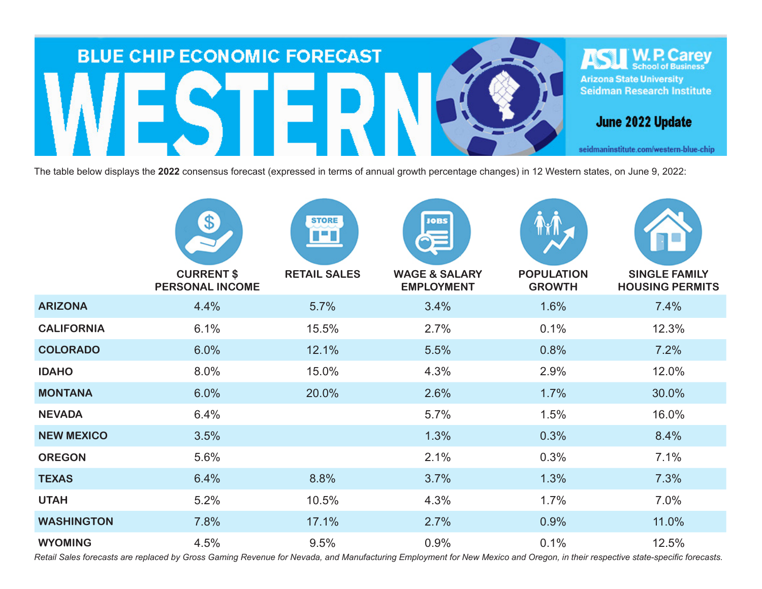

The table below displays the **2022** consensus forecast (expressed in terms of annual growth percentage changes) in 12 Western states, on June 9, 2022:

|                   | $\bullet$<br><b>CURRENT \$</b> | <b>STORE</b><br>I T<br><b>RETAIL SALES</b> | <b>JOBS</b><br><b>WAGE &amp; SALARY</b> | <b>POPULATION</b> | <b>SINGLE FAMILY</b>   |
|-------------------|--------------------------------|--------------------------------------------|-----------------------------------------|-------------------|------------------------|
|                   | <b>PERSONAL INCOME</b>         |                                            | <b>EMPLOYMENT</b>                       | <b>GROWTH</b>     | <b>HOUSING PERMITS</b> |
| <b>ARIZONA</b>    | 4.4%                           | 5.7%                                       | 3.4%                                    | 1.6%              | 7.4%                   |
| <b>CALIFORNIA</b> | 6.1%                           | 15.5%                                      | 2.7%                                    | 0.1%              | 12.3%                  |
| <b>COLORADO</b>   | 6.0%                           | 12.1%                                      | 5.5%                                    | 0.8%              | 7.2%                   |
| <b>IDAHO</b>      | 8.0%                           | 15.0%                                      | 4.3%                                    | 2.9%              | 12.0%                  |
| <b>MONTANA</b>    | 6.0%                           | 20.0%                                      | 2.6%                                    | 1.7%              | 30.0%                  |
| <b>NEVADA</b>     | 6.4%                           |                                            | 5.7%                                    | 1.5%              | 16.0%                  |
| <b>NEW MEXICO</b> | 3.5%                           |                                            | 1.3%                                    | 0.3%              | 8.4%                   |
| <b>OREGON</b>     | 5.6%                           |                                            | 2.1%                                    | 0.3%              | 7.1%                   |
| <b>TEXAS</b>      | 6.4%                           | 8.8%                                       | 3.7%                                    | 1.3%              | 7.3%                   |
| <b>UTAH</b>       | 5.2%                           | 10.5%                                      | 4.3%                                    | 1.7%              | 7.0%                   |
| <b>WASHINGTON</b> | 7.8%                           | 17.1%                                      | 2.7%                                    | 0.9%              | 11.0%                  |
| <b>WYOMING</b>    | 4.5%                           | 9.5%                                       | 0.9%                                    | 0.1%              | 12.5%                  |

*Retail Sales forecasts are replaced by Gross Gaming Revenue for Nevada, and Manufacturing Employment for New Mexico and Oregon, in their respective state-specific forecasts.*